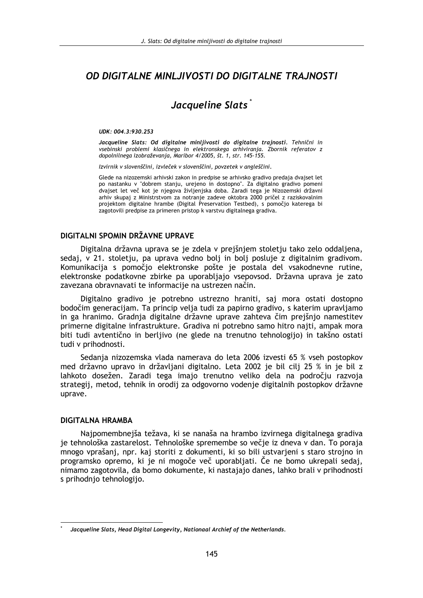# OD DIGITALNE MINLJIVOSTI DO DIGITALNE TRAJNOSTI

# Jacqueline Slats<sup>\*</sup>

#### UDK: 004.3:930.253

Jacqueline Slats: Od digitalne minljivosti do digitalne trajnosti. Tehnični in vsebinski problemi klasičnega in elektronskega arhiviranja. Zbornik referatov z dopolnilnega izobraževania, Maribor 4/2005, št. 1, str. 145-155.

Izvirnik v slovenščini, izvleček v slovenščini, povzetek v angleščini.

Glede na nizozemski arhivski zakon in predpise se arhivsko gradivo predaja dvajset let po nastanku v "dobrem stanju, urejeno in dostopno". Za digitalno gradivo pomeni dvajset let več kot je njegova življenjska doba. Zaradi tega je Nizozemski državni arhiv skupaj z Ministrstvom za notranje zadeve oktobra 2000 pričel z raziskovalnim projektom digitalne hrambe (Digital Preservation Testbed), s pomočjo katerega bi zagotovili predpise za primeren pristop k varstvu digitalnega gradiva.

#### DIGITALNI SPOMIN DRŽAVNE UPRAVE

Digitalna državna uprava se je zdela v prejšnjem stoletju tako zelo oddaljena, sedaj, v 21. stoletju, pa uprava vedno bolj in bolj posluje z digitalnim gradivom. Komunikacija s pomočjo elektronske pošte je postala del vsakodnevne rutine, elektronske podatkovne zbirke pa uporabliajo vsepovsod. Državna uprava je zato zavezana obravnavati te informacije na ustrezen način.

Digitalno gradivo je potrebno ustrezno hraniti, saj mora ostati dostopno bodočim generacijam. Ta princip velja tudi za papirno gradivo, s katerim upravljamo in ga hranimo. Gradnja digitalne državne uprave zahteva čim prejšnjo namestitev primerne digitalne infrastrukture. Gradiva ni potrebno samo hitro najti, ampak mora biti tudi avtentično in berljivo (ne glede na trenutno tehnologijo) in takšno ostati tudi v prihodnosti.

Sedanja nizozemska vlada namerava do leta 2006 izvesti 65 % vseh postopkov med državno upravo in državljani digitalno. Leta 2002 je bil cilj 25 % in je bil z lahkoto dosežen. Zaradi tega imajo trenutno veliko dela na področju razvoja strategij, metod, tehnik in orodij za odgovorno vodenje digitalnih postopkov državne uprave.

#### **DIGITALNA HRAMBA**

Najpomembnejša težava, ki se nanaša na hrambo izvirnega digitalnega gradiva je tehnološka zastarelost. Tehnološke spremembe so večje iz dneva v dan. To poraja mnogo vprašanj, npr. kaj storiti z dokumenti, ki so bili ustvarjeni s staro strojno in programsko opremo, ki je ni mogoče več uporabljati. Če ne bomo ukrepali sedaj, nimamo zagotovila, da bomo dokumente, ki nastajajo danes, lahko brali v prihodnosti s prihodnjo tehnologijo.

Jacqueline Slats, Head Digital Longevity, Nationaal Archief of the Netherlands.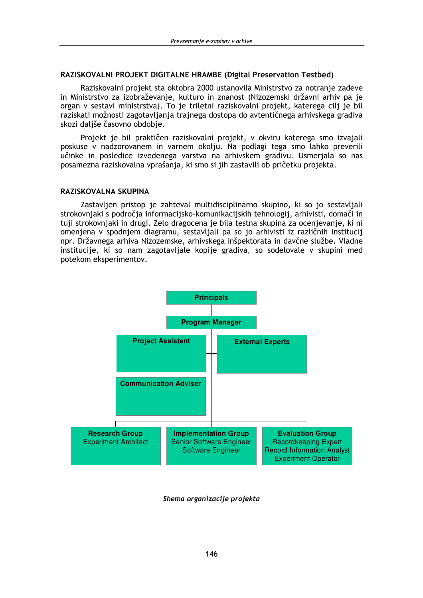#### RAZISKOVALNI PROJEKT DIGITALNE HRAMBE (Digital Preservation Testbed)

Raziskovalni projekt sta oktobra 2000 ustanovila Ministrstvo za notranje zadeve in Ministrstvo za izobraževanje, kulturo in znanost (Nizozemski državni arhiv pa je organ v sestavi ministrstva). To je triletni raziskovalni projekt, katerega cilj je bil raziskati možnosti zagotavljanja trajnega dostopa do avtentičnega arhivskega gradiva skozi daljše časovno obdobje.

Projekt je bil praktičen raziskovalni projekt, v okviru katerega smo izvajali poskuse v nadzorovanem in varnem okolju. Na podlagi tega smo lahko preverili učinke in posledice izvedenega varstva na arhivskem gradivu. Usmerjala so nas posamezna raziskovalna vprašanja, ki smo si jih zastavili ob pričetku projekta.

#### RAZISKOVALNA SKUPINA

Zastavljen pristop je zahteval multidisciplinarno skupino, ki so jo sestavljali strokovnjaki s področja informacijsko-komunikacijskih tehnologij, arhivisti, domači in tuji strokovnjaki in drugi. Zelo dragocena je bila testna skupina za ocenjevanje, ki ni omenjena v spodnjem diagramu, sestavljali pa so jo arhivisti iz različnih institucij npr. Državnega arhiva Nizozemske, arhivskega inšpektorata in davčne službe. Vladne institucije, ki so nam zagotavljale kopije gradiva, so sodelovale v skupini med potekom eksperimentov.



Shema organizacije projekta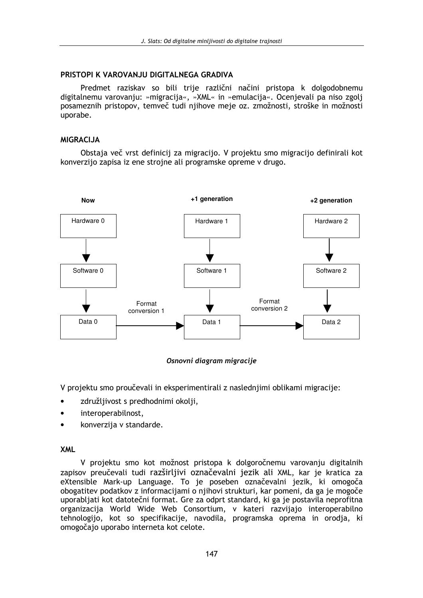# PRISTOPI K VAROVANJU DIGITALNEGA GRADIVA

Predmet raziskav so bili trije različni načini pristopa k dolgodobnemu digitalnemu varovanju: »migracija«, »XML« in »emulacija«. Ocenjevali pa niso zgolj posameznih pristopov, temveč tudi nijhove meje oz. zmožnosti, stroške in možnosti uporabe.

# **MIGRACIJA**

Obstaja več vrst definicij za migracijo. V projektu smo migracijo definirali kot konverzijo zapisa iz ene strojne ali programske opreme v drugo.



Osnovni diagram migracije

V projektu smo proučevali in eksperimentirali z naslednjimi oblikami migracije:

- združljivost s predhodnimi okolji,
- interoperabilnost,
- konverzija v standarde.

# **XML**

V projektu smo kot možnost pristopa k dolgoročnemu varovanju digitalnih zapisov preučevali tudi razširljivi označevalni jezik ali XML, kar je kratica za eXtensible Mark-up Language. To je poseben označevalni jezik, ki omogoča obogatitev podatkov z informacijami o njihovi strukturi, kar pomeni, da ga je mogoče uporabljati kot datotečni format. Gre za odprt standard, ki ga je postavila neprofitna organizacija World Wide Web Consortium, v kateri razvijajo interoperabilno tehnologijo, kot so specifikacije, navodila, programska oprema in orodja, ki omogočajo uporabo interneta kot celote.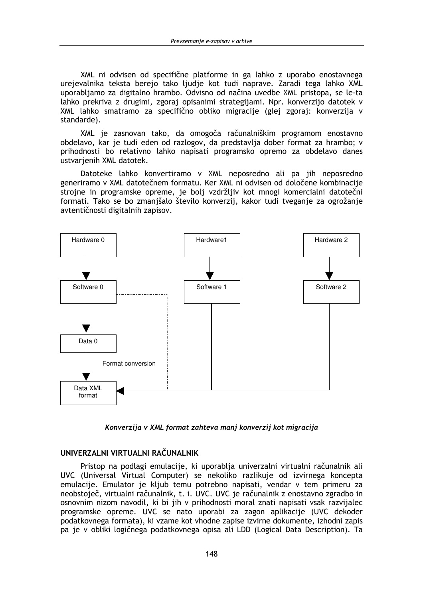XML ni odvisen od specifične platforme in ga lahko z uporabo enostavnega urejevalnika teksta berejo tako ljudje kot tudi naprave. Zaradi tega lahko XML uporabljamo za digitalno hrambo. Odvisno od načina uvedbe XML pristopa, se le-ta lahko prekriva z drugimi, zgoraj opisanimi strategijami. Npr. konverzijo datotek v XML lahko smatramo za specifično obliko migracije (glej zgoraj: konverzija v standarde).

XML je zasnovan tako, da omogoča računalniškim programom enostavno obdelavo, kar je tudi eden od razlogov, da predstavlja dober format za hrambo; v prihodnosti bo relativno lahko napisati programsko opremo za obdelavo danes ustvarjenih XML datotek.

Datoteke lahko konvertiramo v XML neposredno ali pa jih neposredno generiramo v XML datotečnem formatu. Ker XML ni odvisen od določene kombinacije strojne in programske opreme, je bolj vzdržljiv kot mnogi komercialni datotečni formati. Tako se bo zmanjšalo število konverzij, kakor tudi tveganje za ogrožanje avtentičnosti digitalnih zapisov.



Konverzija v XML format zahteva manj konverzij kot migracija

#### UNIVERZALNI VIRTUALNI RAČUNALNIK

Pristop na podlagi emulacije, ki uporablja univerzalni virtualni računalnik ali UVC (Universal Virtual Computer) se nekoliko razlikuje od izvirnega koncepta emulacije. Emulator je kljub temu potrebno napisati, vendar v tem primeru za neobstoječ, virtualni računalnik, t. i. UVC. UVC je računalnik z enostavno zgradbo in osnovnim nizom navodil, ki bi jih v prihodnosti moral znati napisati vsak razvijalec programske opreme. UVC se nato uporabi za zagon aplikacije (UVC dekoder podatkovnega formata), ki vzame kot vhodne zapise izvirne dokumente, izhodni zapis pa je v obliki logičnega podatkovnega opisa ali LDD (Logical Data Description). Ta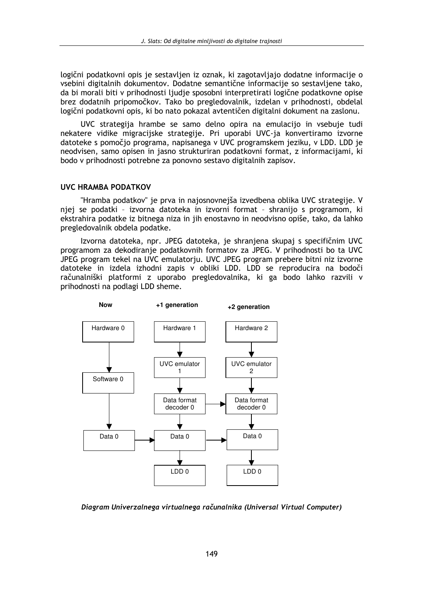logični podatkovni opis je sestavljen iz oznak, ki zagotavljajo dodatne informacije o vsebini digitalnih dokumentov. Dodatne semantične informacije so sestavljene tako, da bi morali biti v prihodnosti ljudje sposobni interpretirati logične podatkovne opise brez dodatnih pripomočkov. Tako bo pregledovalnik, izdelan v prihodnosti, obdelal logični podatkovni opis, ki bo nato pokazal avtentičen digitalni dokument na zaslonu.

UVC strategija hrambe se samo delno opira na emulacijo in vsebuje tudi nekatere vidike migracijske strategije. Pri uporabi UVC-ja konvertiramo izvorne datoteke s pomočjo programa, napisanega v UVC programskem jeziku, v LDD. LDD je neodvisen, samo opisen in jasno strukturiran podatkovni format, z informacijami, ki bodo v prihodnosti potrebne za ponovno sestavo digitalnih zapisov.

#### UVC HRAMBA PODATKOV

"Hramba podatkov" je prva in najosnovnejša izvedbena oblika UVC strategije. V njej se podatki - izvorna datoteka in izvorni format - shranijo s programom, ki ekstrahira podatke iz bitnega niza in jih enostavno in neodvisno opiše, tako, da lahko pregledovalnik obdela podatke.

Izvorna datoteka, npr. JPEG datoteka, je shranjena skupaj s specifičnim UVC programom za dekodiranje podatkovnih formatov za JPEG. V prihodnosti bo ta UVC JPEG program tekel na UVC emulatorju. UVC JPEG program prebere bitni niz izvorne datoteke in izdela izhodni zapis v obliki LDD. LDD se reproducira na bodoči računalniški platformi z uporabo pregledovalnika, ki ga bodo lahko razvili v prihodnosti na podlagi LDD sheme.



Diagram Univerzalnega virtualnega računalnika (Universal Virtual Computer)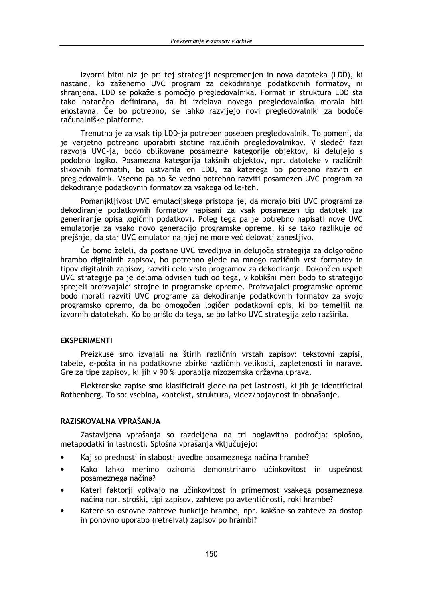Izvorni bitni niz je pri tej strategiji nespremenjen in nova datoteka (LDD), ki nastane, ko zaženemo UVC program za dekodiranie podatkovnih formatov, ni shranjena. LDD se pokaže s pomočjo pregledovalnika. Format in struktura LDD sta tako natančno definirana, da bi izdelava novega pregledovalnika morala biti enostavna. Če bo potrebno, se lahko razvijejo novi pregledovalniki za bodoče računalniške platforme.

Trenutno je za vsak tip LDD-ja potreben poseben pregledovalnik. To pomeni, da je verjetno potrebno uporabiti stotine različnih pregledovalnikov. V sledeči fazi razvoja UVC-ja, bodo oblikovane posamezne kategorije objektov, ki delujejo s podobno logiko. Posamezna kategorija takšnih objektov, npr. datoteke v različnih slikovnih formatih, bo ustvarila en LDD, za katerega bo potrebno razviti en pregledovalnik. Vseeno pa bo še vedno potrebno razviti posamezen UVC program za dekodiranje podatkovnih formatov za vsakega od le-teh.

Pomanikliivost UVC emulaciiskega pristopa je, da morajo biti UVC programi za dekodiranje podatkovnih formatov napisani za vsak posamezen tip datotek (za generiranje opisa logičnih podatkov). Poleg tega pa je potrebno napisati nove UVC emulatorje za vsako novo generacijo programske opreme, ki se tako razlikuje od prejšnje, da star UVC emulator na njej ne more več delovati zanesljivo.

Če bomo želeli, da postane UVC izvedljiva in delujoča strategija za dolgoročno hrambo digitalnih zapisov, bo potrebno glede na mnogo različnih vrst formatov in tipov digitalnih zapisov, razviti celo vrsto programov za dekodiranie. Dokončen uspeh UVC strategije pa je deloma odvisen tudi od tega, v kolikšni meri bodo to strategijo sprejeli proizvajalci strojne in programske opreme. Proizvajalci programske opreme bodo morali razviti UVC programe za dekodiranje podatkovnih formatov za svojo programsko opremo, da bo omogočen logičen podatkovni opis, ki bo temeljil na izvornih datotekah. Ko bo prišlo do tega, se bo lahko UVC strategija zelo razširila.

# **EKSPERIMENTI**

Preizkuse smo izvajali na štirih različnih vrstah zapisov: tekstovni zapisi, tabele, e-pošta in na podatkovne zbirke različnih velikosti, zapletenosti in narave. Gre za tipe zapisov, ki jih v 90 % uporablja nizozemska državna uprava.

Elektronske zapise smo klasificirali glede na pet lastnosti, ki jih je identificiral Rothenberg. To so: vsebina, kontekst, struktura, videz/pojavnost in obnašanje.

# RAZISKOVALNA VPRAŠANJA

Zastavljena vprašanja so razdeljena na tri poglavitna področja: splošno, metapodatki in lastnosti. Splošna vprašanja vključujejo:

- Kaj so prednosti in slabosti uvedbe posameznega načina hrambe?
- Kako lahko merimo oziroma demonstriramo učinkovitost in uspešnost  $\bullet$ posameznega načina?
- Kateri faktorji vplivajo na učinkovitost in primernost vsakega posameznega načina npr. stroški, tipi zapisov, zahteve po avtentičnosti, roki hrambe?
- Katere so osnovne zahteve funkcije hrambe, npr. kakšne so zahteve za dostop in ponovno uporabo (retreival) zapisov po hrambi?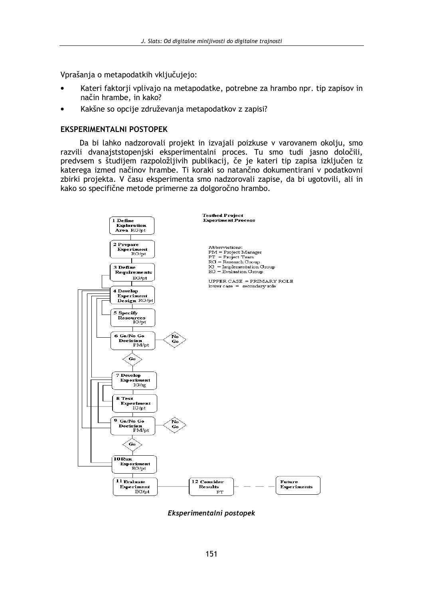Vprašania o metapodatkih vključujejo:

- Kateri faktorji vplivajo na metapodatke, potrebne za hrambo npr. tip zapisov in način hrambe, in kako?
- Kakšne so opcije združevanja metapodatkov z zapisi?

### **EKSPERIMENTALNI POSTOPEK**

Da bi lahko nadzorovali projekt in izvajali poizkuse v varovanem okolju, smo razvili dvanajststopenjski eksperimentalni proces. Tu smo tudi jasno določili, predvsem s študijem razpoložljivih publikacij, če je kateri tip zapisa izključen iz katerega izmed načinov hrambe. Ti koraki so natančno dokumentirani v podatkovni zbirki projekta. V času eksperimenta smo nadzorovali zapise, da bi ugotovili, ali in kako so specifične metode primerne za dolgoročno hrambo.



Eksperimentalni postopek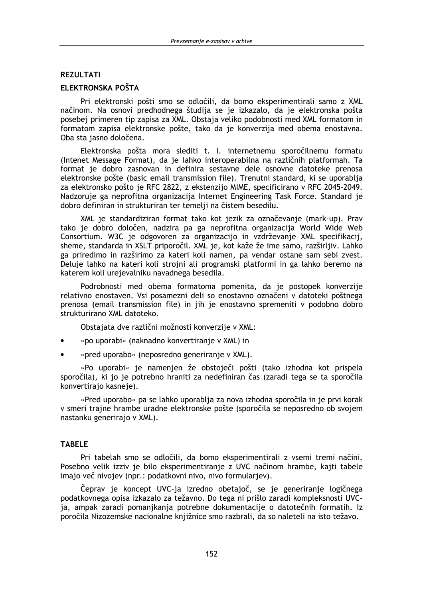### **REZULTATI**

# ELEKTRONSKA POŠTA

Pri elektronski pošti smo se odločili, da bomo eksperimentirali samo z XML načinom. Na osnovi predhodnega študija se je izkazalo, da je elektronska pošta posebej primeren tip zapisa za XML. Obstaja veliko podobnosti med XML formatom in formatom zapisa elektronske pošte, tako da je konverzija med obema enostavna. Oba sta jasno določena.

Elektronska pošta mora slediti t. i. internetnemu sporočilnemu formatu (Intenet Message Format), da je lahko interoperabilna na različnih platformah. Ta format je dobro zasnovan in definira sestavne dele osnovne datoteke prenosa elektronske pošte (basic email transmission file). Trenutni standard, ki se uporablja za elektronsko pošto je RFC 2822, z ekstenzijo MIME, specificirano v RFC 2045-2049. Nadzoruje ga neprofitna organizacija Internet Engineering Task Force. Standard je dobro definiran in strukturiran ter temelji na čistem besedilu.

XML je standardiziran format tako kot jezik za označevanje (mark-up). Prav tako je dobro določen, nadzira pa ga neprofitna organizacija World Wide Web Consortium. W3C je odgovoren za organizacijo in vzdrževanje XML specifikacij, sheme, standarda in XSLT priporočil. XML je, kot kaže že ime samo, razširljiv. Lahko ga priredimo in razširimo za kateri koli namen, pa vendar ostane sam sebi zvest. Deluje lahko na kateri koli strojni ali programski platformi in ga lahko beremo na katerem koli urejevalniku navadnega besedila.

Podrobnosti med obema formatoma pomenita, da je postopek konverzije relativno enostaven. Vsi posamezni deli so enostavno označeni v datoteki poštnega prenosa (email transmission file) in jih je enostavno spremeniti v podobno dobro strukturirano XML datoteko.

Obstajata dve različni možnosti konverzije v XML:

- »po uporabi« (naknadno konvertiranje v XML) in
- »pred uporabo« (neposredno generiranje v XML).

»Po uporabi« je namenjen že obstoječi pošti (tako izhodna kot prispela sporočila), ki jo je potrebno hraniti za nedefiniran čas (zaradi tega se ta sporočila konvertiraio kasneie).

»Pred uporabo« pa se lahko uporablja za nova izhodna sporočila in je prvi korak v smeri traine hrambe uradne elektronske pošte (sporočila se neposredno ob svojem nastanku generirajo v XML).

#### **TABELE**

Pri tabelah smo se odločili, da bomo eksperimentirali z vsemi tremi načini. Posebno velik izziv je bilo eksperimentiranje z UVC načinom hrambe, kajti tabele imajo več nivojev (npr.: podatkovni nivo, nivo formularjev).

Čeprav je koncept UVC-ja izredno obetajoč, se je generiranje logičnega podatkovnega opisa izkazalo za težavno. Do tega ni prišlo zaradi kompleksnosti UVCja, ampak zaradi pomanjkanja potrebne dokumentacije o datotečnih formatih. Iz poročila Nizozemske nacionalne knjižnice smo razbrali, da so naleteli na isto težavo.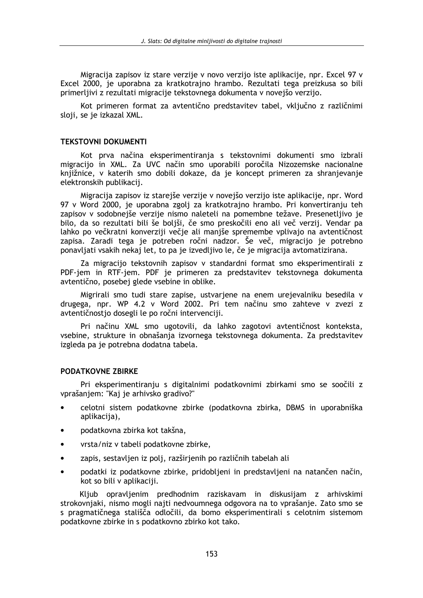Migracija zapisov iz stare verzije v novo verzijo iste aplikacije, npr. Excel 97 v Excel 2000, je uporabna za kratkotrajno hrambo. Rezultati tega preizkusa so bili primerlijvi z rezultati migracije tekstovnega dokumenta v novejšo verzijo.

Kot primeren format za avtentično predstavitev tabel, vključno z različnimi sloji, se je izkazal XML.

#### **TEKSTOVNI DOKUMENTI**

Kot prva načina eksperimentiranja s tekstovnimi dokumenti smo izbrali migracijo in XML. Za UVC način smo uporabili poročila Nizozemske nacionalne knjižnice, v katerih smo dobili dokaze, da je koncept primeren za shranjevanje elektronskih publikacij.

Migracija zapisov iz starejše verzije v novejšo verzijo iste aplikacije, npr. Word 97 v Word 2000, je uporabna zgolj za kratkotrajno hrambo. Pri konvertiranju teh zapisov v sodobnejše verzije nismo naleteli na pomembne težave. Presenetljivo je bilo, da so rezultati bili še boliši, če smo preskočili eno ali več verzij. Vendar pa lahko po večkratni konverziji večje ali manjše spremembe vplivajo na avtentičnost zapisa. Zaradi tega je potreben ročni nadzor. Še več, migracijo je potrebno ponavljati vsakih nekaj let, to pa je izvedljivo le, če je migracija avtomatizirana.

Za migracijo tekstovnih zapisov v standardni format smo eksperimentirali z PDF-jem in RTF-jem. PDF je primeren za predstavitev tekstovnega dokumenta avtentično, posebej glede vsebine in oblike.

Migrirali smo tudi stare zapise, ustvarjene na enem urejevalniku besedila v drugega, npr. WP 4.2 v Word 2002. Pri tem načinu smo zahteve v zvezi z avtentičnostio dosegli le po ročni intervenciji.

Pri načinu XML smo ugotovili, da lahko zagotovi avtentičnost konteksta, vsebine, strukture in obnašanja izvornega tekstovnega dokumenta. Za predstavitev izgleda pa je potrebna dodatna tabela.

#### PODATKOVNE ZBIRKE

Pri eksperimentiranju s digitalnimi podatkovnimi zbirkami smo se soočili z vprašaniem: "Kai je arhivsko gradivo?"

- celotni sistem podatkovne zbirke (podatkovna zbirka, DBMS in uporabniška aplikacija),
- podatkovna zbirka kot takšna,
- vrsta/niz v tabeli podatkovne zbirke,  $\bullet$
- zapis, sestavljen iz polj, razširjenih po različnih tabelah ali
- podatki iz podatkovne zbirke, pridoblieni in predstavlieni na natančen način, kot so bili v aplikaciji.

Kljub opravljenim predhodnim raziskavam in diskusijam z arhivskimi strokovnjaki, nismo mogli najti nedvoumnega odgovora na to vprašanje. Zato smo se s pragmatičnega stališča odločili, da bomo eksperimentirali s celotnim sistemom podatkovne zbirke in s podatkovno zbirko kot tako.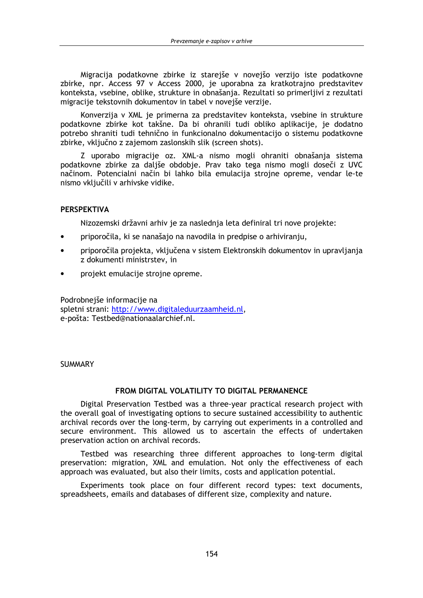Migracija podatkovne zbirke iz starejše v novejšo verzijo iste podatkovne zbirke, npr. Access 97 v Access 2000, je uporabna za kratkotrajno predstavitev konteksta, vsebine, oblike, strukture in obnašania. Rezultati so primerlijvi z rezultati migracije tekstovnih dokumentov in tabel v novejše verzije.

Konverzija v XML je primerna za predstavitev konteksta, vsebine in strukture podatkovne zbirke kot takšne. Da bi ohranili tudi obliko aplikacije, je dodatno potrebo shraniti tudi tehnično in funkcionalno dokumentacijo o sistemu podatkovne zbirke, vključno z zajemom zaslonskih slik (screen shots).

Z uporabo migracije oz. XML-a nismo mogli ohraniti obnašanja sistema podatkovne zbirke za daljše obdobje. Prav tako tega nismo mogli doseči z UVC načinom. Potencialni način bi lahko bila emulacija strojne opreme, vendar le-te nismo vključili v arhivske vidike.

### **PERSPEKTIVA**

Nizozemski državni arhiv je za naslednja leta definiral tri nove projekte:

- priporočila, ki se nanašajo na navodila in predpise o arhiviranju,
- priporočila projekta, vključena v sistem Elektronskih dokumentov in upravljanja z dokumenti ministrstev, in
- projekt emulacije strojne opreme.

Podrobnejše informacije na spletni strani: http://www.digitaleduurzaamheid.nl, e-pošta: Testbed@nationaalarchief.nl.

### **SUMMARY**

# FROM DIGITAL VOLATILITY TO DIGITAL PERMANENCE

Digital Preservation Testbed was a three-year practical research project with the overall goal of investigating options to secure sustained accessibility to authentic archival records over the long-term, by carrying out experiments in a controlled and secure environment. This allowed us to ascertain the effects of undertaken preservation action on archival records.

Testbed was researching three different approaches to long-term digital preservation: migration, XML and emulation. Not only the effectiveness of each approach was evaluated, but also their limits, costs and application potential.

Experiments took place on four different record types: text documents, spreadsheets, emails and databases of different size, complexity and nature.